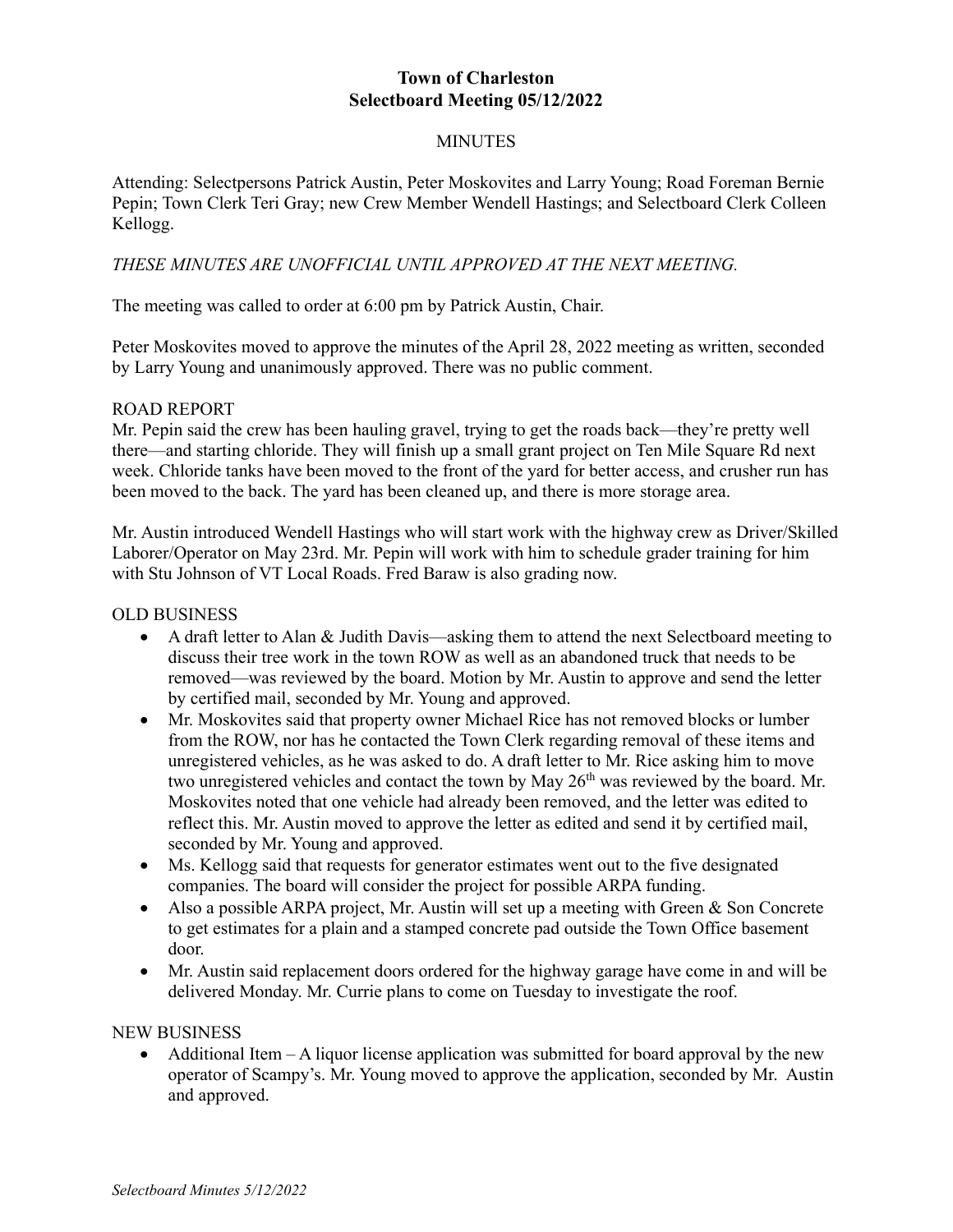# **Town of Charleston Selectboard Meeting 05/12/2022**

## **MINUTES**

Attending: Selectpersons Patrick Austin, Peter Moskovites and Larry Young; Road Foreman Bernie Pepin; Town Clerk Teri Gray; new Crew Member Wendell Hastings; and Selectboard Clerk Colleen Kellogg.

## *THESE MINUTES ARE UNOFFICIAL UNTIL APPROVED AT THE NEXT MEETING.*

The meeting was called to order at 6:00 pm by Patrick Austin, Chair.

Peter Moskovites moved to approve the minutes of the April 28, 2022 meeting as written, seconded by Larry Young and unanimously approved. There was no public comment.

### ROAD REPORT

Mr. Pepin said the crew has been hauling gravel, trying to get the roads back—they're pretty well there—and starting chloride. They will finish up a small grant project on Ten Mile Square Rd next week. Chloride tanks have been moved to the front of the yard for better access, and crusher run has been moved to the back. The yard has been cleaned up, and there is more storage area.

Mr. Austin introduced Wendell Hastings who will start work with the highway crew as Driver/Skilled Laborer/Operator on May 23rd. Mr. Pepin will work with him to schedule grader training for him with Stu Johnson of VT Local Roads. Fred Baraw is also grading now.

### OLD BUSINESS

- A draft letter to Alan & Judith Davis—asking them to attend the next Selectboard meeting to discuss their tree work in the town ROW as well as an abandoned truck that needs to be removed—was reviewed by the board. Motion by Mr. Austin to approve and send the letter by certified mail, seconded by Mr. Young and approved.
- Mr. Moskovites said that property owner Michael Rice has not removed blocks or lumber from the ROW, nor has he contacted the Town Clerk regarding removal of these items and unregistered vehicles, as he was asked to do. A draft letter to Mr. Rice asking him to move two unregistered vehicles and contact the town by May 26<sup>th</sup> was reviewed by the board. Mr. Moskovites noted that one vehicle had already been removed, and the letter was edited to reflect this. Mr. Austin moved to approve the letter as edited and send it by certified mail, seconded by Mr. Young and approved.
- Ms. Kellogg said that requests for generator estimates went out to the five designated companies. The board will consider the project for possible ARPA funding.
- Also a possible ARPA project, Mr. Austin will set up a meeting with Green & Son Concrete to get estimates for a plain and a stamped concrete pad outside the Town Office basement door.
- Mr. Austin said replacement doors ordered for the highway garage have come in and will be delivered Monday. Mr. Currie plans to come on Tuesday to investigate the roof.

#### NEW BUSINESS

Additional Item  $-A$  liquor license application was submitted for board approval by the new operator of Scampy's. Mr. Young moved to approve the application, seconded by Mr. Austin and approved.